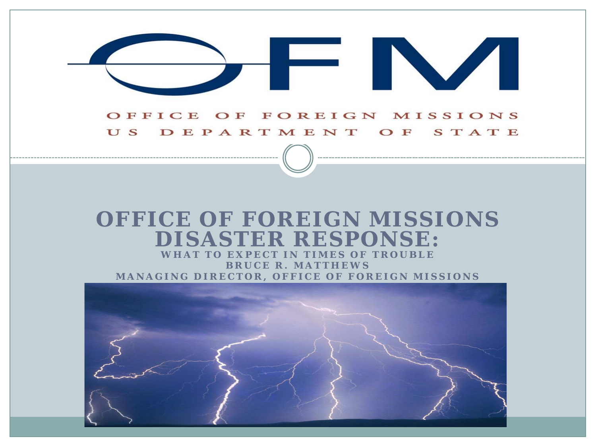#### OFFICE OF FOREIGN MISSIONS US DEPARTMENT OF STATE

FINA

#### **OFFICE OF FOREIGN MISSIONS DISASTER RESPONSE:**

**WHAT TO EXPECT IN TIMES OF TROUBLE BRUCE R. MATTHEWS MANAGING DIRECTOR, OFFICE OF FOREIGN MISSIONS**

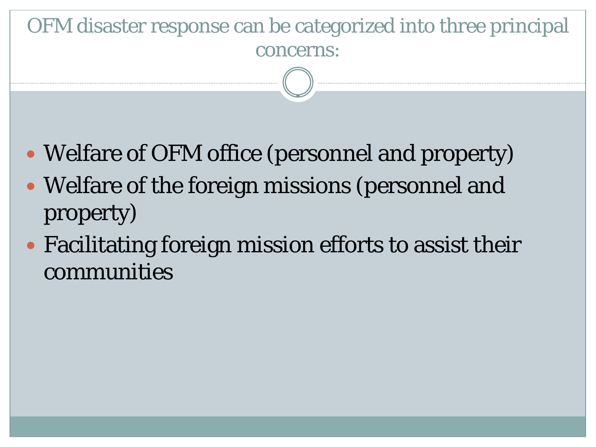## OFM disaster response can be categorized into three principal concerns:

- Welfare of OFM office (personnel and property)
- Welfare of the foreign missions (personnel and property)
- Facilitating foreign mission efforts to assist their communities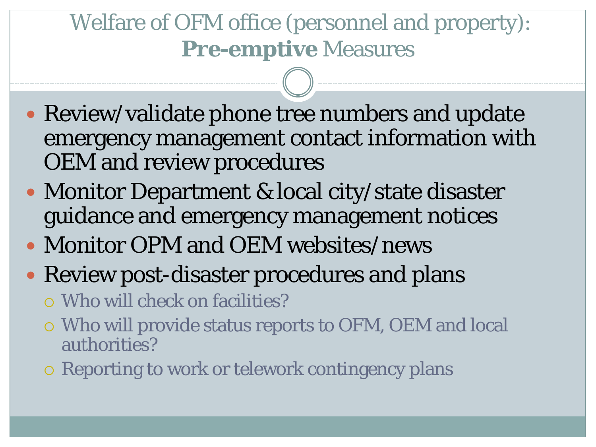## Welfare of OFM office (personnel and property): **Pre-emptive** Measures

- Review/validate phone tree numbers and update emergency management contact information with OEM and review procedures
- Monitor Department & local city/state disaster guidance and emergency management notices
- Monitor OPM and OEM websites/news
- Review post-disaster procedures and plans

Who will check on facilities?

- Who will provide status reports to OFM, OEM and local authorities?
- Reporting to work or telework contingency plans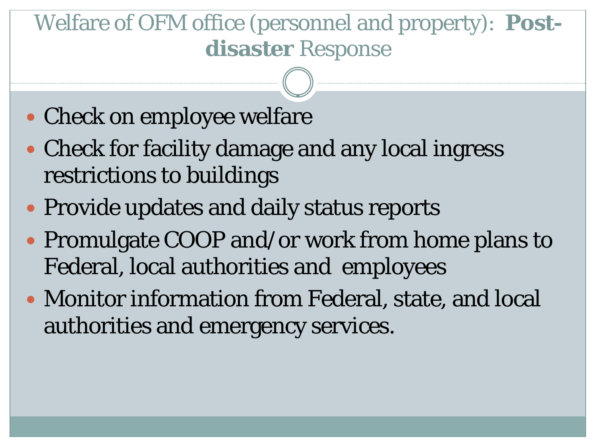## Welfare of OFM office (personnel and property): **Postdisaster** Response

- Check on employee welfare
- Check for facility damage and any local ingress restrictions to buildings
- Provide updates and daily status reports
- Promulgate COOP and/or work from home plans to Federal, local authorities and employees
- Monitor information from Federal, state, and local authorities and emergency services.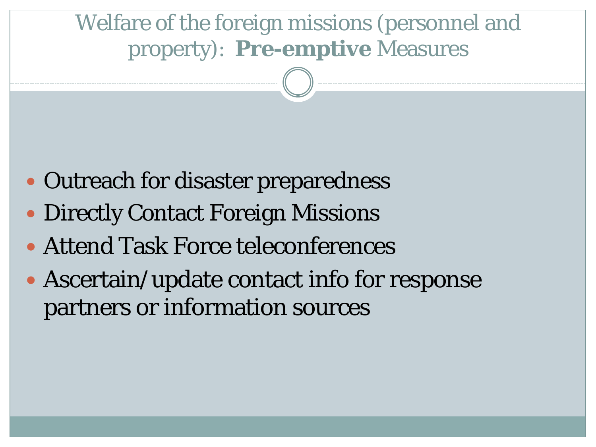### Welfare of the foreign missions (personnel and property): **Pre-emptive** Measures

- Outreach for disaster preparedness
- Directly Contact Foreign Missions
- Attend Task Force teleconferences
- Ascertain/update contact info for response partners or information sources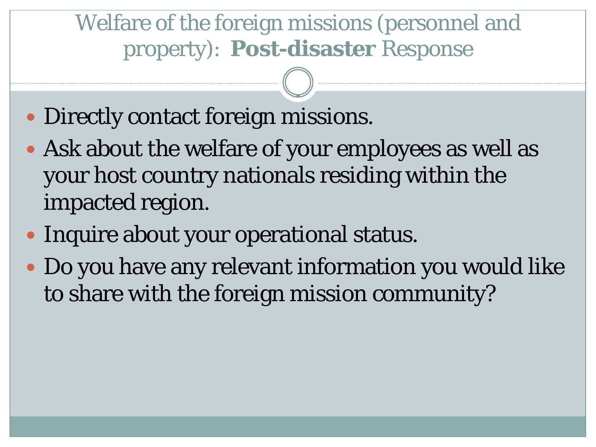Welfare of the foreign missions (personnel and property): **Post-disaster** Response

- Directly contact foreign missions.
- Ask about the welfare of your employees as well as your host country nationals residing within the impacted region.
- Inquire about your operational status.
- Do you have any relevant information you would like to share with the foreign mission community?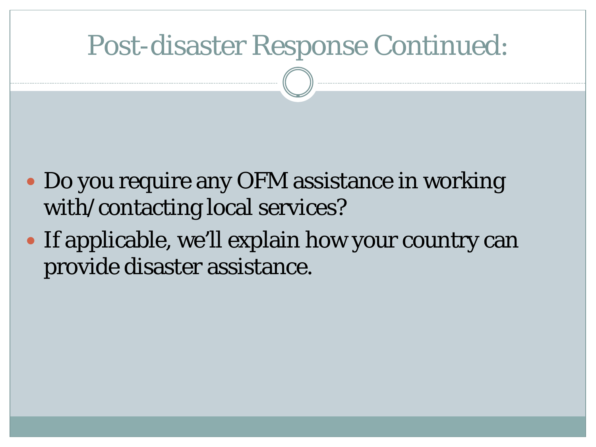## Post-disaster Response Continued:

- Do you require any OFM assistance in working with/contacting local services?
- If applicable, we'll explain how your country can provide disaster assistance.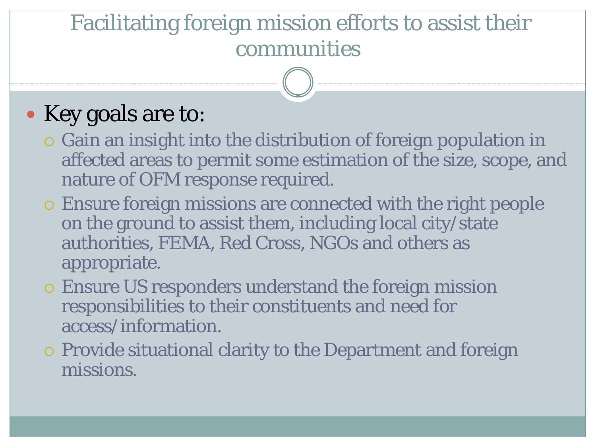### Facilitating foreign mission efforts to assist their communities

## • Key goals are to:

- Gain an insight into the distribution of foreign population in affected areas to permit some estimation of the size, scope, and nature of OFM response required.
- Ensure foreign missions are connected with the right people on the ground to assist them, including local city/state authorities, FEMA, Red Cross, NGOs and others as appropriate.
- Ensure US responders understand the foreign mission responsibilities to their constituents and need for access/information.
- Provide situational clarity to the Department and foreign missions.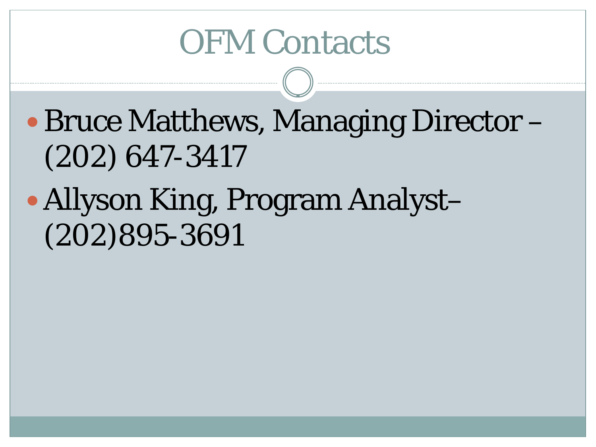# OFM Contacts

- Bruce Matthews, Managing Director (202) 647-3417
- Allyson King, Program Analyst– (202)895-3691